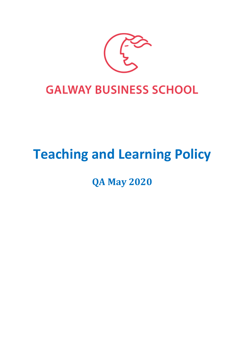

# **Teaching and Learning Policy**

**QA May 2020**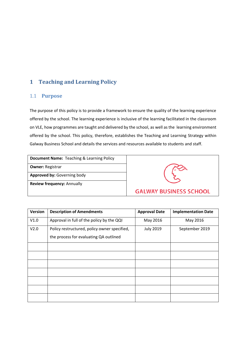# **1 Teaching and Learning Policy**

# 1.1 **Purpose**

The purpose of this policy is to provide a framework to ensure the quality of the learning experience offered by the school. The learning experience is inclusive of the learning facilitated in the classroom on VLE, how programmes are taught and delivered by the school, as well as the learning environment offered by the school. This policy, therefore, establishes the Teaching and Learning Strategy within Galway Business School and details the services and resources available to students and staff.

| <b>Document Name:</b> Teaching & Learning Policy |  |  |  |  |
|--------------------------------------------------|--|--|--|--|
| <b>Owner: Registrar</b>                          |  |  |  |  |
| Approved by: Governing body                      |  |  |  |  |
| <b>Review frequency: Annually</b>                |  |  |  |  |



| <b>Version</b> | <b>Description of Amendments</b>             | <b>Approval Date</b> | <b>Implementation Date</b> |
|----------------|----------------------------------------------|----------------------|----------------------------|
| V1.0           | Approval in full of the policy by the QQI    | May 2016             | May 2016                   |
| V2.0           | Policy restructured, policy owner specified, | <b>July 2019</b>     | September 2019             |
|                | the process for evaluating QA outlined       |                      |                            |
|                |                                              |                      |                            |
|                |                                              |                      |                            |
|                |                                              |                      |                            |
|                |                                              |                      |                            |
|                |                                              |                      |                            |
|                |                                              |                      |                            |
|                |                                              |                      |                            |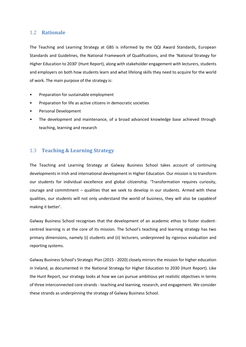# 1.2 **Rationale**

The Teaching and Learning Strategy at GBS is informed by the QQI Award Standards, European Standards and Guidelines, the National Framework of Qualifications, and the 'National Strategy for Higher Education to 2030' (Hunt Report), along with stakeholder engagement with lecturers, students and employers on both how students learn and what lifelong skills they need to acquire for the world of work. The main purpose of the strategy is:

- Preparation for sustainable employment
- Preparation for life as active citizens in democratic societies
- Personal Development
- The development and maintenance, of a broad advanced knowledge base achieved through teaching, learning and research

# 1.3 **Teaching & Learning Strategy**

The Teaching and Learning Strategy at Galway Business School takes account of continuing developments in Irish and international development in Higher Education. Our mission is to transform our students for individual excellence and global citizenship. 'Transformation requires curiosity, courage and commitment – qualities that we seek to develop in our students. Armed with these qualities, our students will not only understand the world of business, they will also be capableof making it better'.

Galway Business School recognises that the development of an academic ethos to foster studentcentred learning is at the core of its mission. The School's teaching and learning strategy has two primary dimensions, namely (i) students and (ii) lecturers, underpinned by rigorous evaluation and reporting systems.

Galway Business School's Strategic Plan (2015 - 2020) closely mirrors the mission for higher education in Ireland, as documented in the National Strategy for Higher Education to 2030 (Hunt Report). Like the Hunt Report, our strategy looks at how we can pursue ambitious yet realistic objectives in terms of three interconnected core strands - teaching and learning, research, and engagement. We consider these strands as underpinning the strategy of Galway Business School.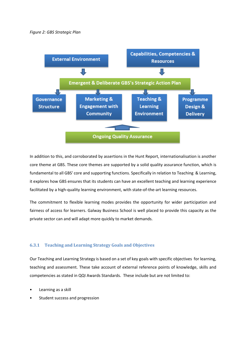#### *Figure 2: GBS Strategic Plan*



In addition to this, and corroborated by assertions in the Hunt Report, internationalisation is another core theme at GBS. These core themes are supported by a solid quality assurance function, which is fundamental to all GBS' core and supporting functions. Specifically in relation to Teaching & Learning, it explores how GBS ensures that its students can have an excellent teaching and learning experience facilitated by a high-quality learning environment, with state-of-the-art learning resources.

The commitment to flexible learning modes provides the opportunity for wider participation and fairness of access for learners. Galway Business School is well placed to provide this capacity as the private sector can and will adapt more quickly to market demands.

#### **6.3.1 Teaching and Learning Strategy Goals and Objectives**

Our Teaching and Learning Strategy is based on a set of key goals with specific objectives for learning, teaching and assessment. These take account of external reference points of knowledge, skills and competencies as stated in QQI Awards Standards. These include but are not limited to:

- Learning as a skill
- Student success and progression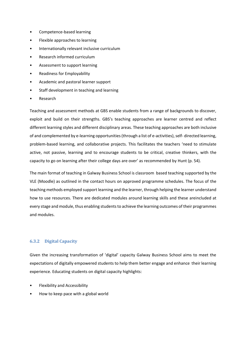- Competence-based learning
- Flexible approaches to learning
- Internationally relevant inclusive curriculum
- Research informed curriculum
- Assessment to support learning
- Readiness for Employability
- Academic and pastoral learner support
- Staff development in teaching and learning
- Research

Teaching and assessment methods at GBS enable students from a range of backgrounds to discover, exploit and build on their strengths. GBS's teaching approaches are learner centred and reflect different learning styles and different disciplinary areas. These teaching approaches are both inclusive of and complemented by e-learning opportunities (through a list of e-activities), self- directed learning, problem-based learning, and collaborative projects. This facilitates the teachers 'need to stimulate active, not passive, learning and to encourage students to be critical, creative thinkers, with the capacity to go on learning after their college days are over' as recommended by Hunt (p. 54).

The main format of teaching in Galway Business School is classroom based teaching supported by the VLE (Moodle) as outlined in the contact hours on approved programme schedules. The focus of the teaching methods employed support learning and the learner, through helping the learner understand how to use resources. There are dedicated modules around learning skills and these areincluded at every stage and module, thus enabling students to achieve the learning outcomes of their programmes and modules.

#### **6.3.2 Digital Capacity**

Given the increasing transformation of 'digital' capacity Galway Business School aims to meet the expectations of digitally empowered students to help them better engage and enhance their learning experience. Educating students on digital capacity highlights:

- Flexibility and Accessibility
- How to keep pace with a global world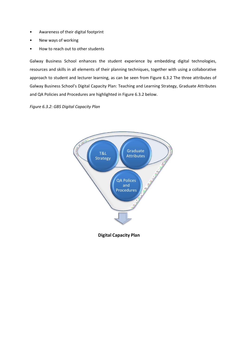- Awareness of their digital footprint
- New ways of working
- How to reach out to other students

Galway Business School enhances the student experience by embedding digital technologies, resources and skills in all elements of their planning techniques, together with using a collaborative approach to student and lecturer learning, as can be seen from Figure 6.3.2 The three attributes of Galway Business School's Digital Capacity Plan: Teaching and Learning Strategy, Graduate Attributes and QA Policies and Procedures are highlighted in Figure 6.3.2 below.

#### *Figure 6.3.2: GBS Digital Capacity Plan*



**Digital Capacity Plan**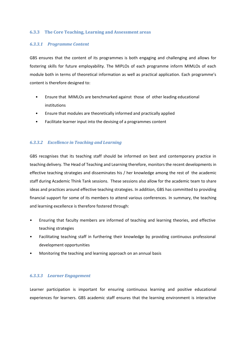#### **6.3.3 The Core Teaching, Learning and Assessment areas**

#### *6.3.3.1 Programme Content*

GBS ensures that the content of its programmes is both engaging and challenging and allows for fostering skills for future employability. The MIPLOs of each programme inform MIMLOs of each module both in terms of theoretical information as well as practical application. Each programme's content is therefore designed to:

- Ensure that MIMLOs are benchmarked against those of other leading educational institutions
- Ensure that modules are theoretically informed and practically applied
- Facilitate learner input into the devising of a programmes content

#### *6.3.3.2 Excellence in Teaching and Learning*

GBS recognises that its teaching staff should be informed on best and contemporary practice in teaching delivery. The Head of Teaching and Learning therefore, monitors the recent developments in effective teaching strategies and disseminates his / her knowledge among the rest of the academic staff during Academic Think Tank sessions. These sessions also allow for the academic team to share ideas and practices around effective teaching strategies. In addition, GBS has committed to providing financial support for some of its members to attend various conferences. In summary, the teaching and learning excellence is therefore fostered through:

- Ensuring that faculty members are informed of teaching and learning theories, and effective teaching strategies
- Facilitating teaching staff in furthering their knowledge by providing continuous professional development opportunities
- Monitoring the teaching and learning approach on an annual basis

#### *6.3.3.3 Learner Engagement*

Learner participation is important for ensuring continuous learning and positive educational experiences for learners. GBS academic staff ensures that the learning environment is interactive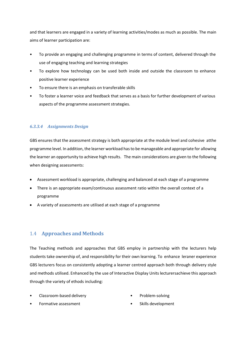and that learners are engaged in a variety of learning activities/modes as much as possible. The main aims of learner participation are:

- To provide an engaging and challenging programme in terms of content, delivered through the use of engaging teaching and learning strategies
- To explore how technology can be used both inside and outside the classroom to enhance positive learner experience
- To ensure there is an emphasis on transferable skills
- To foster a learner voice and feedback that serves as a basis for further development of various aspects of the programme assessment strategies.

# *6.3.3.4 Assignments Design*

GBS ensures that the assessment strategy is both appropriate at the module level and cohesive atthe programme level. In addition, the learner workload has to be manageable and appropriate for allowing the learner an opportunity to achieve high results. The main considerations are given to the following when designing assessments:

- Assessment workload is appropriate, challenging and balanced at each stage of a programme
- There is an appropriate exam/continuous assessment ratio within the overall context of a programme
- A variety of assessments are utilised at each stage of a programme

# 1.4 **Approaches and Methods**

The Teaching methods and approaches that GBS employ in partnership with the lecturers help students take ownership of, and responsibility for their own learning. To enhance leraner experience GBS lecturers focus on consistently adopting a learner centred approach both through delivery style and methods utilised. Enhanced by the use of Interactive Display Units lecturersachieve this approach through the variety of ethods including:

• Classroom-based delivery

• Problem-solving

• Formative assessment

Skills development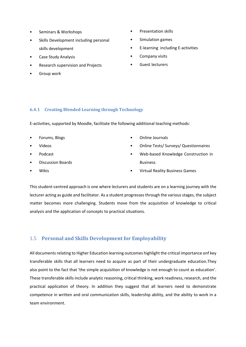- Seminars & Workshops
- Skills Development including personal skills development
- Case Study Analysis
- Research supervision and Projects
- Group work
- Presentation skills
- Simulation games
- E-learning including E-activities
- Company visits
- Guest lecturers

# **6.4.1 Creating Blended Learning through Technology**

E-activities, supported by Moodle, facilitate the following additional teaching methods:

- Forums, Blogs
- Videos
- Podcast
- Discussion Boards
- Wikis
- Online Journals
- Online Tests/ Surveys/ Questionnaires
- Web-based Knowledge Construction in Business
- Virtual Reality Business Games

This student-centred approach is one where lecturers and students are on a learning journey with the lecturer acting as guide and facilitator. As a student progresses through the various stages, the subject matter becomes more challenging. Students move from the acquisition of knowledge to critical analysis and the application of concepts to practical situations.

# 1.5 **Personal and Skills Development for Employability**

All documents relating to Higher Education learning outcomes highlight the critical importance onf key transferable skills that all learners need to acquire as part of their undergraduate education.They also point to the fact that 'the simple acquisition of knowledge is not enough to count as education'. These transferable skills include analytic reasoning, critical thinking, work readiness, research, and the practical application of theory. In addition they suggest that all learners need to demonstrate competence in written and oral communication skills, leadership ability, and the ability to work in a team environment.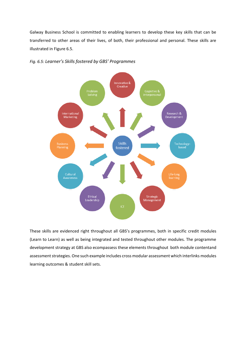Galway Business School is committed to enabling learners to develop these key skills that can be transferred to other areas of their lives, of both, their professional and personal. These skills are illustrated in Figure 6.5.



*Fig. 6.5: Learner's Skills fostered by GBS' Programmes*

These skills are evidenced right throughout all GBS's programmes, both in specific credit modules (Learn to Learn) as well as being integrated and tested throughout other modules. The programme development strategy at GBS also ecompassess these elements throughout both module contentand assessment strategies. One such example includes cross modular assessment which interlinks modules learning outcomes & student skill sets.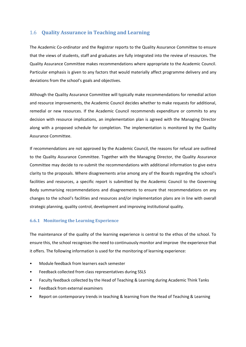# 1.6 **Quality Assurance in Teaching and Learning**

The Academic Co-ordinator and the Registrar reports to the Quality Assurance Committee to ensure that the views of students, staff and graduates are fully integrated into the review of resources. The Quality Assurance Committee makes recommendations where appropriate to the Academic Council. Particular emphasis is given to any factors that would materially affect programme delivery and any deviations from the school's goals and objectives.

Although the Quality Assurance Committee will typically make recommendations for remedial action and resource improvements, the Academic Council decides whether to make requests for additional, remedial or new resources. If the Academic Council recommends expenditure or commits to any decision with resource implications, an implementation plan is agreed with the Managing Director along with a proposed schedule for completion. The implementation is monitored by the Quality Assurance Committee.

If recommendations are not approved by the Academic Council, the reasons for refusal are outlined to the Quality Assurance Committee. Together with the Managing Director, the Quality Assurance Committee may decide to re-submit the recommendations with additional information to give extra clarity to the proposals. Where disagreements arise among any of the Boards regarding the school's facilities and resources, a specific report is submitted by the Academic Council to the Governing Body summarising recommendations and disagreements to ensure that recommendations on any changes to the school's facilities and resources and/or implementation plans are in line with overall strategic planning, quality control, development and improving institutional quality.

# **6.6.1 Monitoring the Learning Experience**

The maintenance of the quality of the learning experience is central to the ethos of the school. To ensure this, the school recognises the need to continuously monitor and improve the experience that it offers. The following information is used for the monitoring of learning experience:

- Module feedback from learners each semester
- Feedback collected from class representatives during SSLS
- Faculty feedback collected by the Head of Teaching & Learning during Academic Think Tanks
- Feedback from external examiners
- Report on contemporary trends in teaching & learning from the Head of Teaching & Learning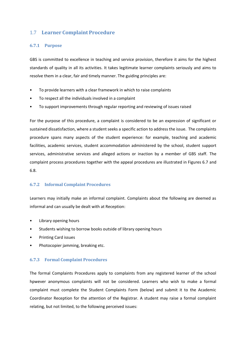# 1.7 **Learner Complaint Procedure**

#### **6.7.1 Purpose**

GBS is committed to excellence in teaching and service provision, therefore it aims for the highest standards of quality in all its activities. It takes legitimate learner complaints seriously and aims to resolve them in a clear, fair and timely manner. The guiding principles are:

- To provide learners with a clear framework in which to raise complaints
- To respect all the individuals involved in a complaint
- To support improvements through regular reporting and reviewing of issues raised

For the purpose of this procedure, a complaint is considered to be an expression of significant or sustained dissatisfaction, where a student seeks a specific action to address the issue. The complaints procedure spans many aspects of the student experience: for example, teaching and academic facilities, academic services, student accommodation administered by the school, student support services, administrative services and alleged actions or inaction by a member of GBS staff. The complaint process procedures together with the appeal procedures are illustrated in Figures 6.7 and 6.8.

# **6.7.2 Informal Complaint Procedures**

Learners may initially make an informal complaint. Complaints about the following are deemed as informal and can usually be dealt with at Reception:

- Library opening hours
- Students wishing to borrow books outside of library opening hours
- Printing Card issues
- Photocopier jamming, breaking etc.

#### **6.7.3 Formal Complaint Procedures**

The formal Complaints Procedures apply to complaints from any registered learner of the school hpwever anonymous complaints will not be considered. Learners who wish to make a formal complaint must complete the Student Complaints Form (below) and submit it to the Academic Coordinator Reception for the attention of the Registrar. A student may raise a formal complaint relating, but not limited, to the following perceived issues: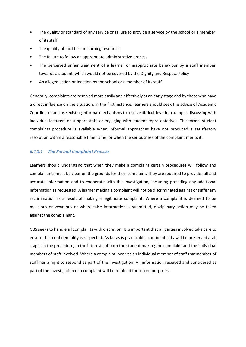- The quality or standard of any service or failure to provide a service by the school or a member of its staff
- The quality of facilities or learning resources
- The failure to follow an appropriate administrative process
- The perceived unfair treatment of a learner or inappropriate behaviour by a staff member towards a student, which would not be covered by the Dignity and Respect Policy
- An alleged action or inaction by the school or a member of its staff.

Generally, complaints are resolved more easily and effectively at an early stage and by those who have a direct influence on the situation. In the first instance, learners should seek the advice of Academic Coordinator and use existing informal mechanisms to resolve difficulties – for example, discussing with individual lecturers or support staff, or engaging with student representatives. The formal student complaints procedure is available when informal approaches have not produced a satisfactory resolution within a reasonable timeframe, or when the seriousness of the complaint merits it.

#### *6.7.3.1 The Formal Complaint Process*

Learners should understand that when they make a complaint certain procedures will follow and complainants must be clear on the grounds for their complaint. They are required to provide full and accurate information and to cooperate with the investigation, including providing any additional information as requested. A learner making a complaint will not be discriminated against or suffer any recrimination as a result of making a legitimate complaint. Where a complaint is deemed to be malicious or vexatious or where false information is submitted, disciplinary action may be taken against the complainant.

GBS seeks to handle all complaints with discretion. It is important that all parties involved take care to ensure that confidentiality is respected. As far as is practicable, confidentiality will be preserved atall stages in the procedure, in the interests of both the student making the complaint and the individual members of staff involved. Where a complaint involves an individual member of staff thatmember of staff has a right to respond as part of the investigation. All information received and considered as part of the investigation of a complaint will be retained for record purposes.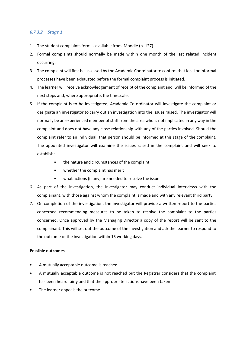#### *6.7.3.2 Stage 1*

- 1. The student complaints form is available from Moodle (p. 127).
- 2. Formal complaints should normally be made within one month of the last related incident occurring.
- 3. The complaint will first be assessed by the Academic Coordinator to confirm that local or informal processes have been exhausted before the formal complaint process is initiated.
- 4. The learner will receive acknowledgement of receipt of the complaint and will be informed of the next steps and, where appropriate, the timescale.
- 5. If the complaint is to be investigated, Academic Co-ordinator will investigate the complaint or designate an investigator to carry out an investigation into the issues raised. The investigator will normally be an experienced member of staff from the area who is not implicated in any way in the complaint and does not have any close relationship with any of the parties involved. Should the complaint refer to an individual, that person should be informed at this stage of the complaint. The appointed investigator will examine the issues raised in the complaint and will seek to establish:
	- the nature and circumstances of the complaint
	- whether the complaint has merit
	- what actions (if any) are needed to resolve the issue
- 6. As part of the investigation, the investigator may conduct individual interviews with the complainant, with those against whom the complaint is made and with any relevant third party.
- 7. On completion of the investigation, the investigator will provide a written report to the parties concerned recommending measures to be taken to resolve the complaint to the parties concerned. Once approved by the Managing Director a copy of the report will be sent to the complainant. This will set out the outcome of the investigation and ask the learner to respond to the outcome of the investigation within 15 working days.

#### **Possible outcomes**

- A mutually acceptable outcome is reached.
- A mutually acceptable outcome is not reached but the Registrar considers that the complaint has been heard fairly and that the appropriate actions have been taken
- The learner appeals the outcome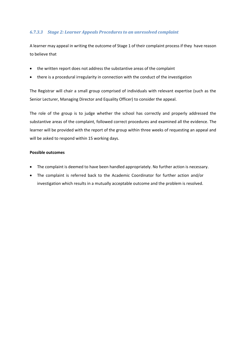# *6.7.3.3 Stage 2: Learner Appeals Procedures to an unresolved complaint*

A learner may appeal in writing the outcome of Stage 1 of their complaint process if they have reason to believe that

- the written report does not address the substantive areas of the complaint
- there is a procedural irregularity in connection with the conduct of the investigation

The Registrar will chair a small group comprised of individuals with relevant expertise (such as the Senior Lecturer, Managing Director and Equality Officer) to consider the appeal.

The role of the group is to judge whether the school has correctly and properly addressed the substantive areas of the complaint, followed correct procedures and examined all the evidence. The learner will be provided with the report of the group within three weeks of requesting an appeal and will be asked to respond within 15 working days.

#### **Possible outcomes**

- The complaint is deemed to have been handled appropriately. No further action is necessary.
- The complaint is referred back to the Academic Coordinator for further action and/or investigation which results in a mutually acceptable outcome and the problem is resolved.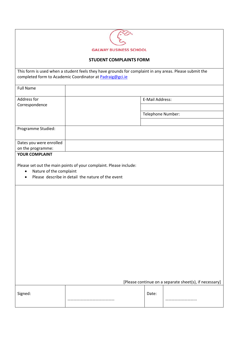| <b>GALWAY BUSINESS SCHOOL</b> |
|-------------------------------|

#### **STUDENT COMPLAINTS FORM**

This form is used when a student feels they have grounds for complaint in any areas. Please submit the completed form to Academic Coordinator at [Padraig@gci.ie](mailto:Padraig@gci.ie)

| <b>Full Name</b>                             |                   |  |
|----------------------------------------------|-------------------|--|
| Address for<br>Correspondence                | E-Mail Address:   |  |
|                                              | Telephone Number: |  |
| Programme Studied:                           |                   |  |
| Dates you were enrolled<br>on the programme: |                   |  |
| <b>YOUR COMPLAINT</b>                        |                   |  |

Please set out the main points of your complaint. Please include:

- Nature of the complaint
- Please describe in detail the nature of the event

| Signed: | Date: |  |
|---------|-------|--|
|         |       |  |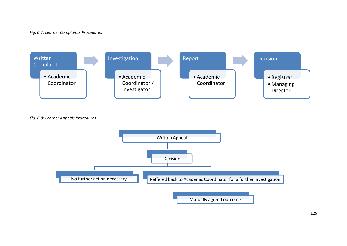#### *Fig. 6.7: Learner Complaints Procedures*



*Fig. 6.8: Learner Appeals Procedures*

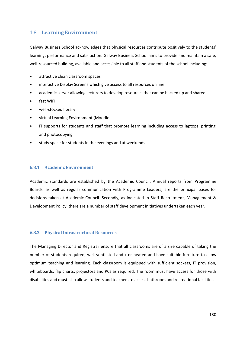# 1.8 **Learning Environment**

Galway Business School acknowledges that physical resources contribute positively to the students' learning, performance and satisfaction. Galway Business School aims to provide and maintain a safe, well-resourced building, available and accessible to all staff and students of the school including:

- attractive clean classroom spaces
- interactive Display Screens which give access to all resources on line
- academic server allowing lecturers to develop resources that can be backed up and shared
- fast WIFI
- well-stocked library
- virtual Learning Environment (Moodle)
- IT supports for students and staff that promote learning including access to laptops, printing and photocopying
- study space for students in the evenings and at weekends

#### **6.8.1 Academic Environment**

Academic standards are established by the Academic Council. Annual reports from Programme Boards, as well as regular communication with Programme Leaders, are the principal bases for decisions taken at Academic Council. Secondly, as indicated in Staff Recruitment, Management & Development Policy, there are a number of staff development initiatives undertaken each year.

#### **6.8.2 Physical Infrastructural Resources**

The Managing Director and Registrar ensure that all classrooms are of a size capable of taking the number of students required, well ventilated and / or heated and have suitable furniture to allow optimum teaching and learning. Each classroom is equipped with sufficient sockets, IT provision, whiteboards, flip charts, projectors and PCs as required. The room must have access for those with disabilities and must also allow students and teachers to access bathroom and recreational facilities.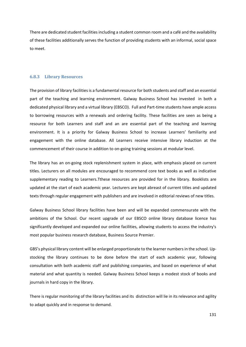There are dedicated student facilities including a student common room and a café and the availability of these facilities additionally serves the function of providing students with an informal, social space to meet.

#### **6.8.3 Library Resources**

The provision of library facilities is a fundamental resource for both students and staff and an essential part of the teaching and learning environment. Galway Business School has invested in both a dedicated physical library and a virtual library (EBSCO). Full and Part-time students have ample access to borrowing resources with a renewals and ordering facility. These facilities are seen as being a resource for both Learners and staff and an are essential part of the teaching and learning environment. It is a priority for Galway Business School to increase Learners' familiarity and engagement with the online database. All Learners receive intensive library induction at the commencement of their course in addition to on-going training sessions at modular level.

The library has an on-going stock replenishment system in place, with emphasis placed on current titles. Lecturers on all modules are encouraged to recommend core text books as well as indicative supplementary reading to Learners.Tthese resources are provided for in the library. Booklists are updated at the start of each academic year. Lecturers are kept abreast of current titles and updated texts through regular engagement with publishers and are involved in editorial reviews of new titles.

Galway Business School library facilities have been and will be expanded commensurate with the ambitions of the School. Our recent upgrade of our EBSCO online library database licence has significantly developed and expanded our online facilities, allowing students to access the industry's most popular business research database, Business Source Premier.

GBS's physical library content will be enlarged proportionate to the learner numbers in the school. Upstocking the library continues to be done before the start of each academic year, following consultation with both academic staff and publishing companies, and based on experience of what material and what quantity is needed. Galway Business School keeps a modest stock of books and journals in hard copy in the library.

There is regular monitoring of the library facilities and its distinction will lie in its relevance and agility to adapt quickly and in response to demand.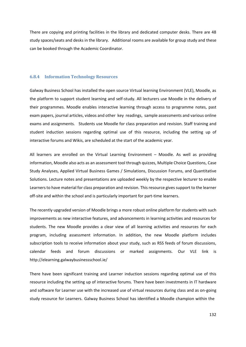There are copying and printing facilities in the library and dedicated computer desks. There are 48 study spaces/seats and desks in the library. Additional rooms are available for group study and these can be booked through the Academic Coordinator.

#### **6.8.4 Information Technology Resources**

Galway Business School has installed the open source Virtual learning Environment (VLE), Moodle, as the platform to support student learning and self-study. All lecturers use Moodle in the delivery of their programmes. Moodle enables interactive learning through access to programme notes, past exam papers, journal articles, videos and other key readings, sample assessments and various online exams and assignments. Students use Moodle for class preparation and revision. Staff training and student induction sessions regarding optimal use of this resource, including the setting up of interactive forums and Wikis, are scheduled at the start of the academic year.

All learners are enrolled on the Virtual Learning Environment – Moodle. As well as providing information, Moodle also acts as an assessment tool through quizzes, Multiple Choice Questions, Case Study Analyses, Applied Virtual Business Games / Simulations, Discussion Forums, and Quantitative Solutions. Lecture notes and presentations are uploaded weekly by the respective lecturer to enable Learners to have material for class preparation and revision. This resource gives support to the learner off-site and within the school and is particularly important for part-time learners.

The recently upgraded version of Moodle brings a more robust online platform for students with such improvements as new interactive features, and advancements in learning activities and resources for students. The new Moodle provides a clear view of all learning activities and resources for each program, including assessment information. In addition, the new Moodle platform includes subscription tools to receive information about your study, such as RSS feeds of forum discussions, calendar feeds and forum discussions or marked assignments. Our VLE link is <http://elearning.galwaybusinessschool.ie/>

There have been significant training and Learner induction sessions regarding optimal use of this resource including the setting up of interactive forums. There have been investments in IT hardware and software for Learner use with the increased use of virtual resources during class and as on-going study resource for Learners. Galway Business School has identified a Moodle champion within the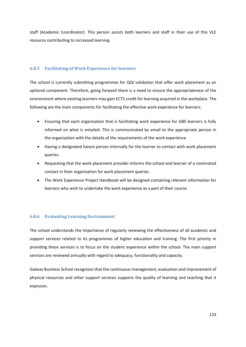staff (Academic Coordinator). This person assists both learners and staff in their use of this VLE resource contributing to increased learning.

#### **6.8.5 Facilitating of Work Experience for learners**

The school is currently submitting programmes for QQI validation that offer work placement as an optional component. Therefore, going forward there is a need to ensure the appropriateness of the environment where existing learners may gain ECTS credit for learning acquired in the workplace. The following are the main components for facilitating the effective work experience for learners:

- Ensuring that each organisation that is facilitating work experience for GBS learners is fully informed on what is entailed. This is communicated by email to the appropriate person in the organisation with the details of the requirements of the work experience
- Having a designated liaison person internally for the learner to contact with work placement queries.
- Requesting that the work placement provider informs the school and learner of a nominated contact in their organisation for work placement queries.
- The Work Experience Project Handbook will be designed containing relevant information for learners who wish to undertake the work experience as a part of their course.

#### **6.8.6 Evaluating Learning Environment**

The school understands the importance of regularly reviewing the effectiveness of all academic and support services related to its programmes of higher education and training. The first priority in providing these services is to focus on the student experience within the school. The main support services are reviewed annually with regard to adequacy, functionality and capacity.

Galway Business School recognises that the continuous management, evaluation and improvement of physical resources and other support services supports the quality of learning and teaching that it espouses.